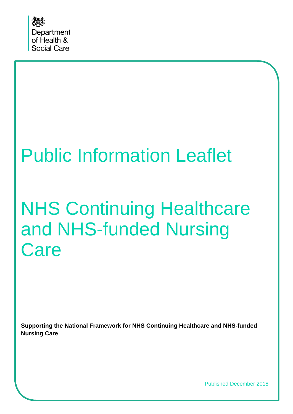

# Public Information Leaflet

# NHS Continuing Healthcare and NHS-funded Nursing **Care**

**Supporting the National Framework for NHS Continuing Healthcare and NHS-funded Nursing Care**

Published December 2018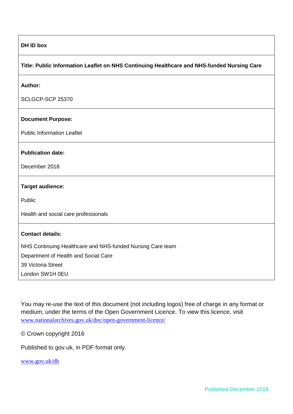#### **DH ID box**

#### **Title: Public Information Leaflet on NHS Continuing Healthcare and NHS-funded Nursing Care**

#### **Author:**

SCLGCP-SCP 25370

#### **Document Purpose:**

Public Information Leaflet

#### **Publication date:**

December 2018

#### **Target audience:**

Public

Health and social care professionals

#### **Contact details:**

NHS Continuing Healthcare and NHS-funded Nursing Care team

Department of Health and Social Care

39 Victoria Street

London SW1H 0EU

You may re-use the text of this document (not including logos) free of charge in any format or medium, under the terms of the Open Government Licence. To view this licence, visit [www.nationalarchives.gov.uk/doc/open-government-licence/](http://www.nationalarchives.gov.uk/doc/open-government-licence/)

© Crown copyright 2016

Published to gov.uk, in PDF format only.

[www.gov.uk/dh](http://www.gov.uk/dh)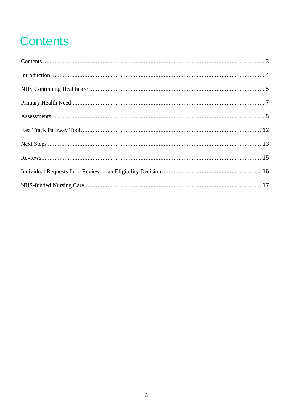# <span id="page-2-0"></span>**Contents**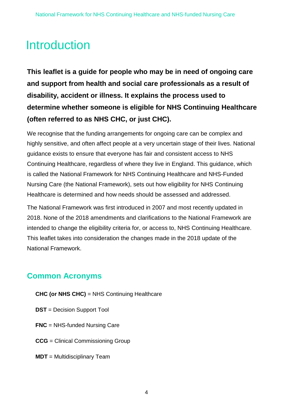# <span id="page-3-0"></span>Introduction

**This leaflet is a guide for people who may be in need of ongoing care and support from health and social care professionals as a result of disability, accident or illness. It explains the process used to determine whether someone is eligible for NHS Continuing Healthcare (often referred to as NHS CHC, or just CHC).** 

We recognise that the funding arrangements for ongoing care can be complex and highly sensitive, and often affect people at a very uncertain stage of their lives. National guidance exists to ensure that everyone has fair and consistent access to NHS Continuing Healthcare, regardless of where they live in England. This guidance, which is called the National Framework for NHS Continuing Healthcare and NHS-Funded Nursing Care (the National Framework), sets out how eligibility for NHS Continuing Healthcare is determined and how needs should be assessed and addressed.

The National Framework was first introduced in 2007 and most recently updated in 2018. None of the 2018 amendments and clarifications to the National Framework are intended to change the eligibility criteria for, or access to, NHS Continuing Healthcare. This leaflet takes into consideration the changes made in the 2018 update of the National Framework.

#### **Common Acronyms**

- **CHC (or NHS CHC)** = NHS Continuing Healthcare
- **DST** = Decision Support Tool
- **FNC** = NHS-funded Nursing Care
- **CCG** = Clinical Commissioning Group
- **MDT** = Multidisciplinary Team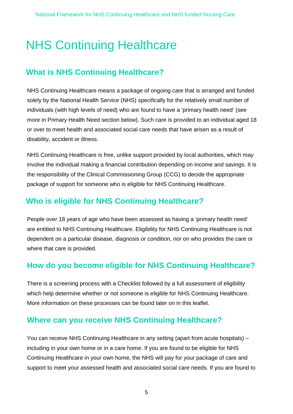# <span id="page-4-0"></span>NHS Continuing Healthcare

#### **What is NHS Continuing Healthcare?**

NHS Continuing Healthcare means a package of ongoing care that is arranged and funded solely by the National Health Service (NHS) specifically for the relatively small number of individuals (with high levels of need) who are found to have a 'primary health need' (see more in Primary Health Need section below). Such care is provided to an individual aged 18 or over to meet health and associated social care needs that have arisen as a result of disability, accident or illness.

NHS Continuing Healthcare is free, unlike support provided by local authorities, which may involve the individual making a financial contribution depending on income and savings. It is the responsibility of the Clinical Commissioning Group (CCG) to decide the appropriate package of support for someone who is eligible for NHS Continuing Healthcare.

#### **Who is eligible for NHS Continuing Healthcare?**

People over 18 years of age who have been assessed as having a 'primary health need' are entitled to NHS Continuing Healthcare. Eligibility for NHS Continuing Healthcare is not dependent on a particular disease, diagnosis or condition, nor on who provides the care or where that care is provided.

### **How do you become eligible for NHS Continuing Healthcare?**

There is a screening process with a Checklist followed by a full assessment of eligibility which help determine whether or not someone is eligible for NHS Continuing Healthcare. More information on these processes can be found later on in this leaflet.

#### **Where can you receive NHS Continuing Healthcare?**

You can receive NHS Continuing Healthcare in any setting (apart from acute hospitals) – including in your own home or in a care home. If you are found to be eligible for NHS Continuing Healthcare in your own home, the NHS will pay for your package of care and support to meet your assessed health and associated social care needs. If you are found to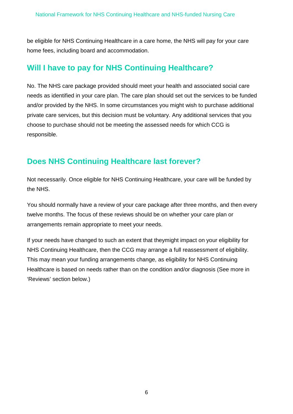be eligible for NHS Continuing Healthcare in a care home, the NHS will pay for your care home fees, including board and accommodation.

#### **Will I have to pay for NHS Continuing Healthcare?**

No. The NHS care package provided should meet your health and associated social care needs as identified in your care plan. The care plan should set out the services to be funded and/or provided by the NHS. In some circumstances you might wish to purchase additional private care services, but this decision must be voluntary. Any additional services that you choose to purchase should not be meeting the assessed needs for which CCG is responsible.

### **Does NHS Continuing Healthcare last forever?**

Not necessarily. Once eligible for NHS Continuing Healthcare, your care will be funded by the NHS.

You should normally have a review of your care package after three months, and then every twelve months. The focus of these reviews should be on whether your care plan or arrangements remain appropriate to meet your needs.

If your needs have changed to such an extent that theymight impact on your eligibility for NHS Continuing Healthcare, then the CCG may arrange a full reassessment of eligibility. This may mean your funding arrangements change, as eligibility for NHS Continuing Healthcare is based on needs rather than on the condition and/or diagnosis (See more in 'Reviews' section below.)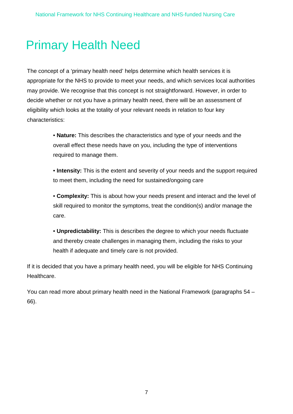## <span id="page-6-0"></span>Primary Health Need

The concept of a 'primary health need' helps determine which health services it is appropriate for the NHS to provide to meet your needs, and which services local authorities may provide. We recognise that this concept is not straightforward. However, in order to decide whether or not you have a primary health need, there will be an assessment of eligibility which looks at the totality of your relevant needs in relation to four key characteristics:

> • **Nature:** This describes the characteristics and type of your needs and the overall effect these needs have on you, including the type of interventions required to manage them.

• **Intensity:** This is the extent and severity of your needs and the support required to meet them, including the need for sustained/ongoing care

• **Complexity:** This is about how your needs present and interact and the level of skill required to monitor the symptoms, treat the condition(s) and/or manage the care.

• **Unpredictability:** This is describes the degree to which your needs fluctuate and thereby create challenges in managing them, including the risks to your health if adequate and timely care is not provided.

If it is decided that you have a primary health need, you will be eligible for NHS Continuing Healthcare.

You can read more about primary health need in the National Framework (paragraphs 54 – 66).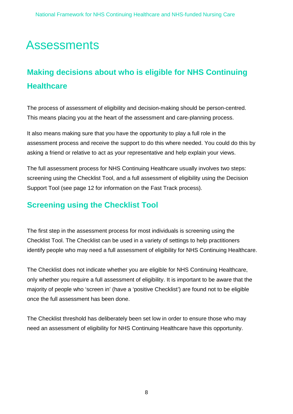## <span id="page-7-0"></span>**Assessments**

### **Making decisions about who is eligible for NHS Continuing Healthcare**

The process of assessment of eligibility and decision-making should be person-centred. This means placing you at the heart of the assessment and care-planning process.

It also means making sure that you have the opportunity to play a full role in the assessment process and receive the support to do this where needed. You could do this by asking a friend or relative to act as your representative and help explain your views.

The full assessment process for NHS Continuing Healthcare usually involves two steps: screening using the Checklist Tool, and a full assessment of eligibility using the Decision Support Tool (see page 12 for information on the Fast Track process).

#### **Screening using the Checklist Tool**

The first step in the assessment process for most individuals is screening using the Checklist Tool. The Checklist can be used in a variety of settings to help practitioners identify people who may need a full assessment of eligibility for NHS Continuing Healthcare.

The Checklist does not indicate whether you are eligible for NHS Continuing Healthcare, only whether you require a full assessment of eligibility. It is important to be aware that the majority of people who 'screen in' (have a 'positive Checklist') are found not to be eligible once the full assessment has been done.

The Checklist threshold has deliberately been set low in order to ensure those who may need an assessment of eligibility for NHS Continuing Healthcare have this opportunity.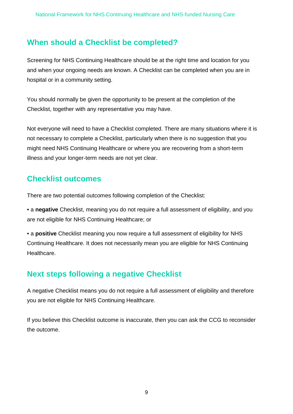#### **When should a Checklist be completed?**

Screening for NHS Continuing Healthcare should be at the right time and location for you and when your ongoing needs are known. A Checklist can be completed when you are in hospital or in a community setting.

You should normally be given the opportunity to be present at the completion of the Checklist, together with any representative you may have.

Not everyone will need to have a Checklist completed. There are many situations where it is not necessary to complete a Checklist, particularly when there is no suggestion that you might need NHS Continuing Healthcare or where you are recovering from a short-term illness and your longer-term needs are not yet clear.

#### **Checklist outcomes**

There are two potential outcomes following completion of the Checklist:

• a **negative** Checklist, meaning you do not require a full assessment of eligibility, and you are not eligible for NHS Continuing Healthcare; or

• a **positive** Checklist meaning you now require a full assessment of eligibility for NHS Continuing Healthcare. It does not necessarily mean you are eligible for NHS Continuing Healthcare.

### **Next steps following a negative Checklist**

A negative Checklist means you do not require a full assessment of eligibility and therefore you are not eligible for NHS Continuing Healthcare.

If you believe this Checklist outcome is inaccurate, then you can ask the CCG to reconsider the outcome.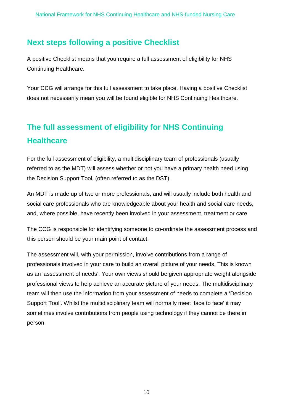#### **Next steps following a positive Checklist**

A positive Checklist means that you require a full assessment of eligibility for NHS Continuing Healthcare.

Your CCG will arrange for this full assessment to take place. Having a positive Checklist does not necessarily mean you will be found eligible for NHS Continuing Healthcare.

### **The full assessment of eligibility for NHS Continuing Healthcare**

For the full assessment of eligibility, a multidisciplinary team of professionals (usually referred to as the MDT) will assess whether or not you have a primary health need using the Decision Support Tool, (often referred to as the DST).

An MDT is made up of two or more professionals, and will usually include both health and social care professionals who are knowledgeable about your health and social care needs, and, where possible, have recently been involved in your assessment, treatment or care

The CCG is responsible for identifying someone to co-ordinate the assessment process and this person should be your main point of contact.

The assessment will, with your permission, involve contributions from a range of professionals involved in your care to build an overall picture of your needs. This is known as an 'assessment of needs'. Your own views should be given appropriate weight alongside professional views to help achieve an accurate picture of your needs. The multidisciplinary team will then use the information from your assessment of needs to complete a 'Decision Support Tool'. Whilst the multidisciplinary team will normally meet 'face to face' it may sometimes involve contributions from people using technology if they cannot be there in person.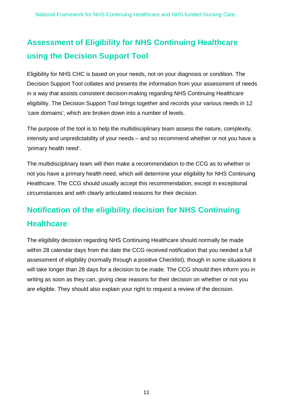### **Assessment of Eligibility for NHS Continuing Healthcare using the Decision Support Tool**

Eligibility for NHS CHC is based on your needs, not on your diagnosis or condition. The Decision Support Tool collates and presents the information from your assessment of needs in a way that assists consistent decision-making regarding NHS Continuing Healthcare eligibility. The Decision Support Tool brings together and records your various needs in 12 'care domains', which are broken down into a number of levels.

The purpose of the tool is to help the multidisciplinary team assess the nature, complexity, intensity and unpredictability of your needs – and so recommend whether or not you have a 'primary health need'.

The multidisciplinary team will then make a recommendation to the CCG as to whether or not you have a primary health need, which will determine your eligibility for NHS Continuing Healthcare. The CCG should usually accept this recommendation, except in exceptional circumstances and with clearly articulated reasons for their decision.

### **Notification of the eligibility decision for NHS Continuing Healthcare**

The eligibility decision regarding NHS Continuing Healthcare should normally be made within 28 calendar days from the date the CCG received notification that you needed a full assessment of eligibility (normally through a positive Checklist), though in some situations it will take longer than 28 days for a decision to be made. The CCG should then inform you in writing as soon as they can, giving clear reasons for their decision on whether or not you are eligible. They should also explain your right to request a review of the decision.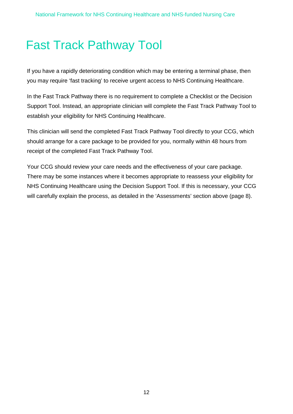# <span id="page-11-0"></span>Fast Track Pathway Tool

If you have a rapidly deteriorating condition which may be entering a terminal phase, then you may require 'fast tracking' to receive urgent access to NHS Continuing Healthcare.

In the Fast Track Pathway there is no requirement to complete a Checklist or the Decision Support Tool. Instead, an appropriate clinician will complete the Fast Track Pathway Tool to establish your eligibility for NHS Continuing Healthcare.

This clinician will send the completed Fast Track Pathway Tool directly to your CCG, which should arrange for a care package to be provided for you, normally within 48 hours from receipt of the completed Fast Track Pathway Tool.

Your CCG should review your care needs and the effectiveness of your care package. There may be some instances where it becomes appropriate to reassess your eligibility for NHS Continuing Healthcare using the Decision Support Tool. If this is necessary, your CCG will carefully explain the process, as detailed in the 'Assessments' section above (page 8).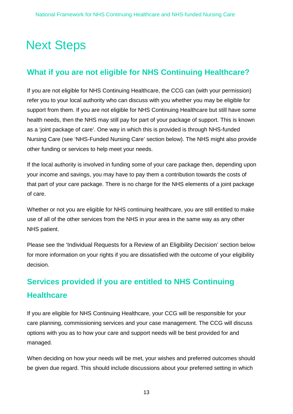# <span id="page-12-0"></span>Next Steps

### **What if you are not eligible for NHS Continuing Healthcare?**

If you are not eligible for NHS Continuing Healthcare, the CCG can (with your permission) refer you to your local authority who can discuss with you whether you may be eligible for support from them. If you are not eligible for NHS Continuing Healthcare but still have some health needs, then the NHS may still pay for part of your package of support. This is known as a 'joint package of care'. One way in which this is provided is through NHS-funded Nursing Care (see 'NHS-Funded Nursing Care' section below). The NHS might also provide other funding or services to help meet your needs.

If the local authority is involved in funding some of your care package then, depending upon your income and savings, you may have to pay them a contribution towards the costs of that part of your care package. There is no charge for the NHS elements of a joint package of care.

Whether or not you are eligible for NHS continuing healthcare, you are still entitled to make use of all of the other services from the NHS in your area in the same way as any other NHS patient.

Please see the 'Individual Requests for a Review of an Eligibility Decision' section below for more information on your rights if you are dissatisfied with the outcome of your eligibility decision.

### **Services provided if you are entitled to NHS Continuing Healthcare**

If you are eligible for NHS Continuing Healthcare, your CCG will be responsible for your care planning, commissioning services and your case management. The CCG will discuss options with you as to how your care and support needs will be best provided for and managed.

When deciding on how your needs will be met, your wishes and preferred outcomes should be given due regard. This should include discussions about your preferred setting in which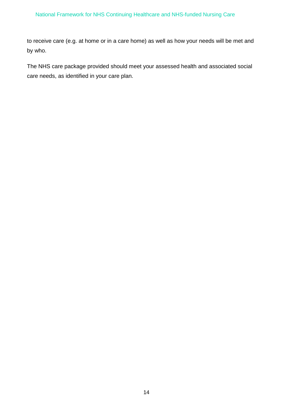#### National Framework for NHS Continuing Healthcare and NHS-funded Nursing Care

to receive care (e.g. at home or in a care home) as well as how your needs will be met and by who.

The NHS care package provided should meet your assessed health and associated social care needs, as identified in your care plan.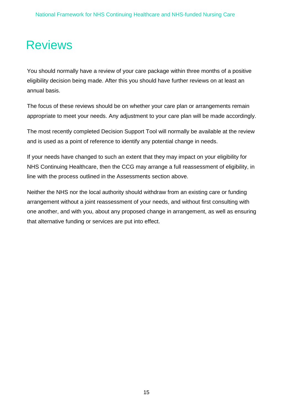### <span id="page-14-0"></span>Reviews

You should normally have a review of your care package within three months of a positive eligibility decision being made. After this you should have further reviews on at least an annual basis.

The focus of these reviews should be on whether your care plan or arrangements remain appropriate to meet your needs. Any adjustment to your care plan will be made accordingly.

The most recently completed Decision Support Tool will normally be available at the review and is used as a point of reference to identify any potential change in needs.

If your needs have changed to such an extent that they may impact on your eligibility for NHS Continuing Healthcare, then the CCG may arrange a full reassessment of eligibility, in line with the process outlined in the Assessments section above.

Neither the NHS nor the local authority should withdraw from an existing care or funding arrangement without a joint reassessment of your needs, and without first consulting with one another, and with you, about any proposed change in arrangement, as well as ensuring that alternative funding or services are put into effect.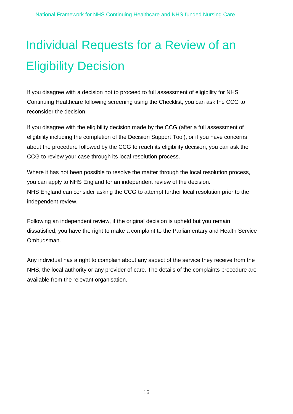# <span id="page-15-0"></span>Individual Requests for a Review of an Eligibility Decision

If you disagree with a decision not to proceed to full assessment of eligibility for NHS Continuing Healthcare following screening using the Checklist, you can ask the CCG to reconsider the decision.

If you disagree with the eligibility decision made by the CCG (after a full assessment of eligibility including the completion of the Decision Support Tool), or if you have concerns about the procedure followed by the CCG to reach its eligibility decision, you can ask the CCG to review your case through its local resolution process.

Where it has not been possible to resolve the matter through the local resolution process, you can apply to NHS England for an independent review of the decision. NHS England can consider asking the CCG to attempt further local resolution prior to the independent review.

Following an independent review, if the original decision is upheld but you remain dissatisfied, you have the right to make a complaint to the Parliamentary and Health Service Ombudsman.

Any individual has a right to complain about any aspect of the service they receive from the NHS, the local authority or any provider of care. The details of the complaints procedure are available from the relevant organisation.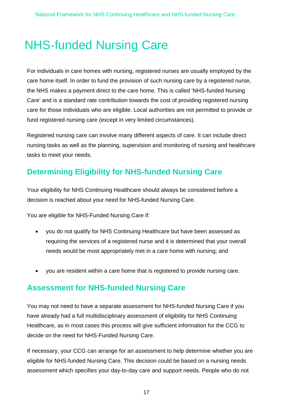# <span id="page-16-0"></span>NHS-funded Nursing Care

For individuals in care homes with nursing, registered nurses are usually employed by the care home itself. In order to fund the provision of such nursing care by a registered nurse, the NHS makes a payment direct to the care home. This is called 'NHS-funded Nursing Care' and is a standard rate contribution towards the cost of providing registered nursing care for those individuals who are eligible. Local authorities are not permitted to provide or fund registered nursing care (except in very limited circumstances).

Registered nursing care can involve many different aspects of care. It can include direct nursing tasks as well as the planning, supervision and monitoring of nursing and healthcare tasks to meet your needs.

#### **Determining Eligibility for NHS-funded Nursing Care**

Your eligibility for NHS Continuing Healthcare should always be considered before a decision is reached about your need for NHS-funded Nursing Care.

You are eligible for NHS-Funded Nursing Care if:

- you do not qualify for NHS Continuing Healthcare but have been assessed as requiring the services of a registered nurse and it is determined that your overall needs would be most appropriately met in a care home with nursing; and
- you are resident within a care home that is registered to provide nursing care.

#### **Assessment for NHS-funded Nursing Care**

You may not need to have a separate assessment for NHS-funded Nursing Care if you have already had a full multidisciplinary assessment of eligibility for NHS Continuing Healthcare, as in most cases this process will give sufficient information for the CCG to decide on the need for NHS-Funded Nursing Care.

If necessary, your CCG can arrange for an assessment to help determine whether you are eligible for NHS-funded Nursing Care. This decision could be based on a nursing needs assessment which specifies your day-to-day care and support needs. People who do not